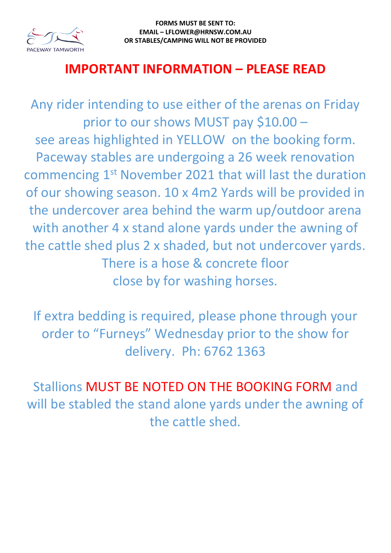

## **IMPORTANT INFORMATION – PLEASE READ**

Any rider intending to use either of the arenas on Friday prior to our shows MUST pay \$10.00 – see areas highlighted in YELLOW on the booking form. Paceway stables are undergoing a 26 week renovation commencing 1st November 2021 that will last the duration of our showing season. 10 x 4m2 Yards will be provided in the undercover area behind the warm up/outdoor arena with another 4 x stand alone yards under the awning of the cattle shed plus 2 x shaded, but not undercover yards. There is a hose & concrete floor close by for washing horses.

If extra bedding is required, please phone through your order to "Furneys" Wednesday prior to the show for delivery. Ph: 6762 1363

Stallions MUST BE NOTED ON THE BOOKING FORM and will be stabled the stand alone yards under the awning of the cattle shed.